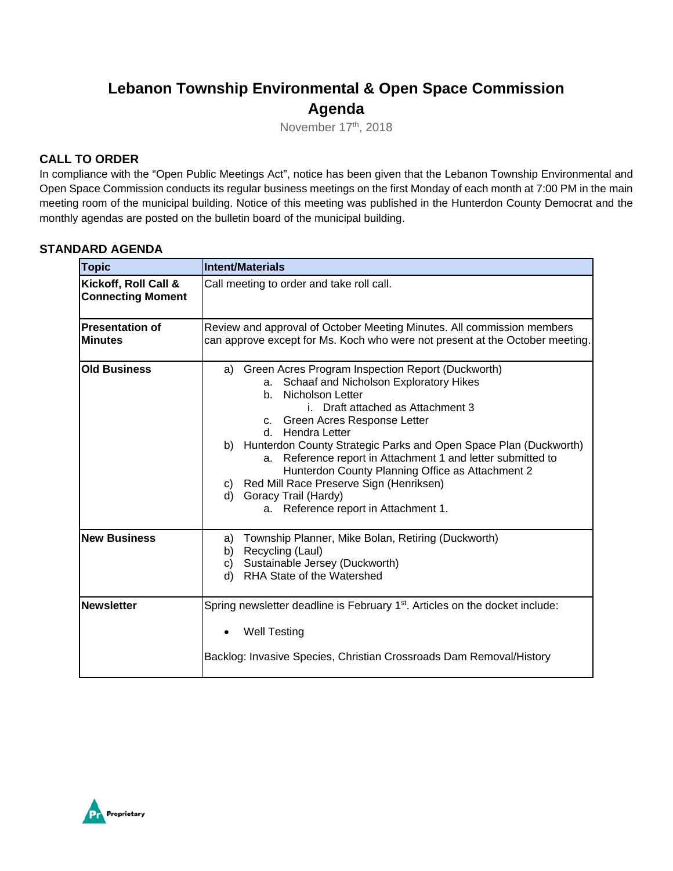## **Lebanon Township Environmental & Open Space Commission Agenda**

November 17th, 2018

#### **CALL TO ORDER**

In compliance with the "Open Public Meetings Act", notice has been given that the Lebanon Township Environmental and Open Space Commission conducts its regular business meetings on the first Monday of each month at 7:00 PM in the main meeting room of the municipal building. Notice of this meeting was published in the Hunterdon County Democrat and the monthly agendas are posted on the bulletin board of the municipal building.

#### **STANDARD AGENDA**

| <b>Topic</b>                                     | <b>Intent/Materials</b>                                                                                                                                                                                                                                                                                                                                                                                                                                                                                                                        |
|--------------------------------------------------|------------------------------------------------------------------------------------------------------------------------------------------------------------------------------------------------------------------------------------------------------------------------------------------------------------------------------------------------------------------------------------------------------------------------------------------------------------------------------------------------------------------------------------------------|
| Kickoff, Roll Call &<br><b>Connecting Moment</b> | Call meeting to order and take roll call.                                                                                                                                                                                                                                                                                                                                                                                                                                                                                                      |
| <b>Presentation of</b><br>lMinutes               | Review and approval of October Meeting Minutes. All commission members<br>can approve except for Ms. Koch who were not present at the October meeting.                                                                                                                                                                                                                                                                                                                                                                                         |
| <b>Old Business</b>                              | a) Green Acres Program Inspection Report (Duckworth)<br>Schaaf and Nicholson Exploratory Hikes<br>а.<br><b>Nicholson Letter</b><br>b.<br>i. Draft attached as Attachment 3<br>c. Green Acres Response Letter<br>d. Hendra Letter<br>b) Hunterdon County Strategic Parks and Open Space Plan (Duckworth)<br>Reference report in Attachment 1 and letter submitted to<br>a.<br>Hunterdon County Planning Office as Attachment 2<br>c) Red Mill Race Preserve Sign (Henriksen)<br>d) Goracy Trail (Hardy)<br>a. Reference report in Attachment 1. |
| <b>New Business</b>                              | Township Planner, Mike Bolan, Retiring (Duckworth)<br>a)<br>Recycling (Laul)<br>b)<br>Sustainable Jersey (Duckworth)<br>C)<br>RHA State of the Watershed<br>d)                                                                                                                                                                                                                                                                                                                                                                                 |
| Newsletter                                       | Spring newsletter deadline is February 1 <sup>st</sup> . Articles on the docket include:<br><b>Well Testing</b><br>Backlog: Invasive Species, Christian Crossroads Dam Removal/History                                                                                                                                                                                                                                                                                                                                                         |

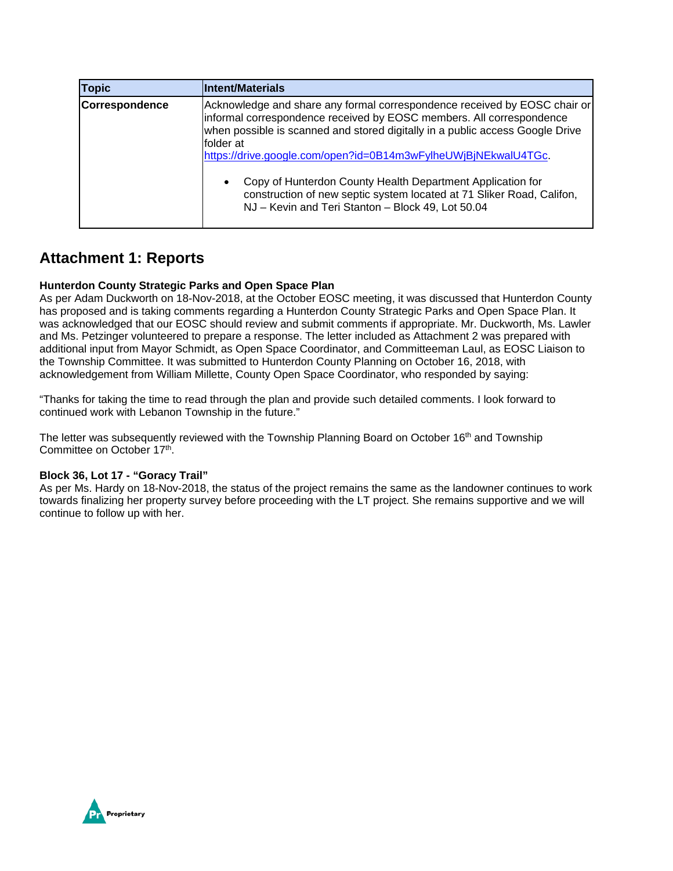| <b>Topic</b>   | Intent/Materials                                                                                                                                                                                                                                                                                                                                                                                                                                                                                                           |
|----------------|----------------------------------------------------------------------------------------------------------------------------------------------------------------------------------------------------------------------------------------------------------------------------------------------------------------------------------------------------------------------------------------------------------------------------------------------------------------------------------------------------------------------------|
| Correspondence | Acknowledge and share any formal correspondence received by EOSC chair or<br>informal correspondence received by EOSC members. All correspondence<br>when possible is scanned and stored digitally in a public access Google Drive<br>folder at<br>https://drive.google.com/open?id=0B14m3wFylheUWjBjNEkwalU4TGc.<br>Copy of Hunterdon County Health Department Application for<br>$\bullet$<br>construction of new septic system located at 71 Sliker Road, Califon,<br>NJ - Kevin and Teri Stanton - Block 49, Lot 50.04 |

### **Attachment 1: Reports**

#### **Hunterdon County Strategic Parks and Open Space Plan**

As per Adam Duckworth on 18-Nov-2018, at the October EOSC meeting, it was discussed that Hunterdon County has proposed and is taking comments regarding a Hunterdon County Strategic Parks and Open Space Plan. It was acknowledged that our EOSC should review and submit comments if appropriate. Mr. Duckworth, Ms. Lawler and Ms. Petzinger volunteered to prepare a response. The letter included as Attachment 2 was prepared with additional input from Mayor Schmidt, as Open Space Coordinator, and Committeeman Laul, as EOSC Liaison to the Township Committee. It was submitted to Hunterdon County Planning on October 16, 2018, with acknowledgement from William Millette, County Open Space Coordinator, who responded by saying:

"Thanks for taking the time to read through the plan and provide such detailed comments. I look forward to continued work with Lebanon Township in the future."

The letter was subsequently reviewed with the Township Planning Board on October 16<sup>th</sup> and Township Committee on October 17<sup>th</sup>.

#### **Block 36, Lot 17 - "Goracy Trail"**

As per Ms. Hardy on 18-Nov-2018, the status of the project remains the same as the landowner continues to work towards finalizing her property survey before proceeding with the LT project. She remains supportive and we will continue to follow up with her.

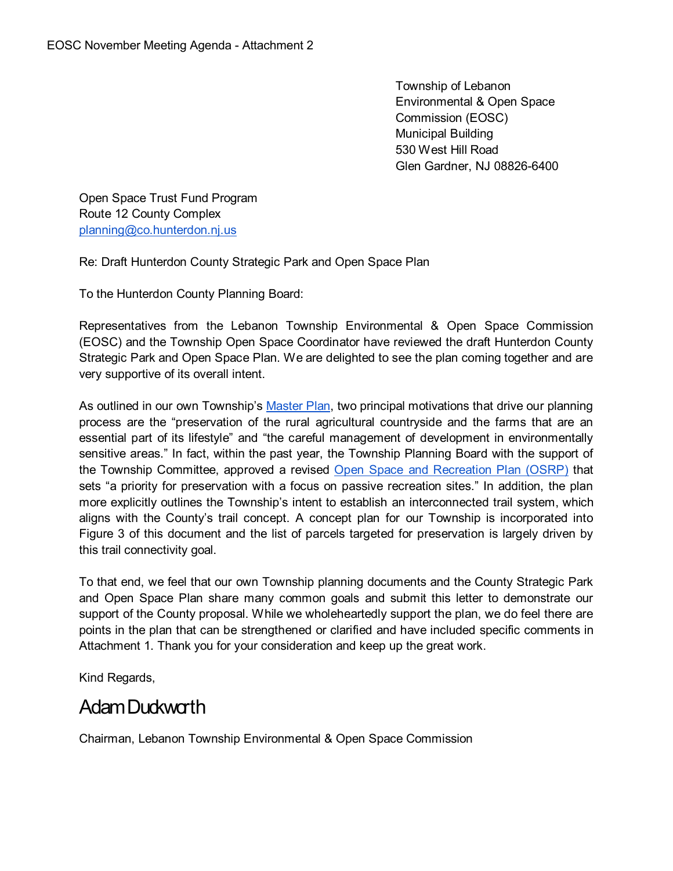Township of Lebanon Environmental & Open Space Commission (EOSC) Municipal Building 530 West Hill Road Glen Gardner, NJ 08826-6400

Open Space Trust Fund Program Route 12 County Complex [planning@co.hunterdon.nj.us](mailto:planning@co.hunterdon.nj.us)

Re: Draft Hunterdon County Strategic Park and Open Space Plan

To the Hunterdon County Planning Board:

Representatives from the Lebanon Township Environmental & Open Space Commission (EOSC) and the Township Open Space Coordinator have reviewed the draft Hunterdon County Strategic Park and Open Space Plan. We are delighted to see the plan coming together and are very supportive of its overall intent.

As outlined in our own Township's [Master Plan,](http://www.lebanontownship.net/government/boards/Planning%20Board/Disk1/lepbmasterplan82001.pdf) two principal motivations that drive our planning process are the "preservation of the rural agricultural countryside and the farms that are an essential part of its lifestyle" and "the careful management of development in environmentally sensitive areas." In fact, within the past year, the Township Planning Board with the support of the Township Committee, approved a revised [Open Space and Recreation Plan \(OSRP\)](http://www.lebanontownship.net/government/boards/Planning%20Board/2017%20OSRP%20Final%20Complete.pdf) that sets "a priority for preservation with a focus on passive recreation sites." In addition, the plan more explicitly outlines the Township's intent to establish an interconnected trail system, which aligns with the County's trail concept. A concept plan for our Township is incorporated into Figure 3 of this document and the list of parcels targeted for preservation is largely driven by this trail connectivity goal.

To that end, we feel that our own Township planning documents and the County Strategic Park and Open Space Plan share many common goals and submit this letter to demonstrate our support of the County proposal. While we wholeheartedly support the plan, we do feel there are points in the plan that can be strengthened or clarified and have included specific comments in Attachment 1. Thank you for your consideration and keep up the great work.

Kind Regards,

# Adam Duckworth

Chairman, Lebanon Township Environmental & Open Space Commission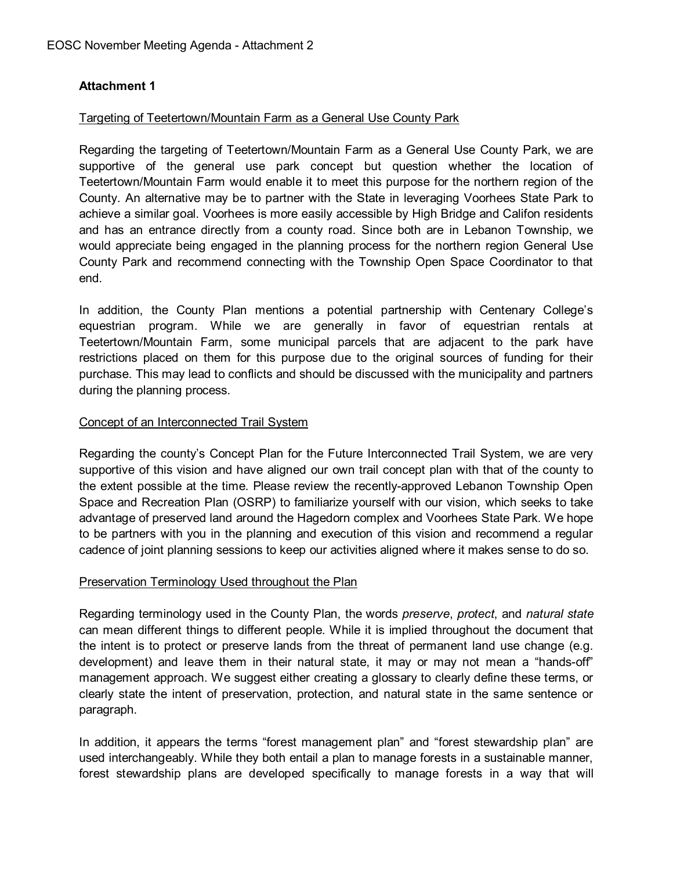### **Attachment 1**

#### Targeting of Teetertown/Mountain Farm as a General Use County Park

Regarding the targeting of Teetertown/Mountain Farm as a General Use County Park, we are supportive of the general use park concept but question whether the location of Teetertown/Mountain Farm would enable it to meet this purpose for the northern region of the County. An alternative may be to partner with the State in leveraging Voorhees State Park to achieve a similar goal. Voorhees is more easily accessible by High Bridge and Califon residents and has an entrance directly from a county road. Since both are in Lebanon Township, we would appreciate being engaged in the planning process for the northern region General Use County Park and recommend connecting with the Township Open Space Coordinator to that end.

In addition, the County Plan mentions a potential partnership with Centenary College's equestrian program. While we are generally in favor of equestrian rentals at Teetertown/Mountain Farm, some municipal parcels that are adjacent to the park have restrictions placed on them for this purpose due to the original sources of funding for their purchase. This may lead to conflicts and should be discussed with the municipality and partners during the planning process.

#### Concept of an Interconnected Trail System

Regarding the county's Concept Plan for the Future Interconnected Trail System, we are very supportive of this vision and have aligned our own trail concept plan with that of the county to the extent possible at the time. Please review the recently-approved Lebanon Township Open Space and Recreation Plan (OSRP) to familiarize yourself with our vision, which seeks to take advantage of preserved land around the Hagedorn complex and Voorhees State Park. We hope to be partners with you in the planning and execution of this vision and recommend a regular cadence of joint planning sessions to keep our activities aligned where it makes sense to do so.

#### Preservation Terminology Used throughout the Plan

Regarding terminology used in the County Plan, the words *preserve*, *protect*, and *natural state* can mean different things to different people. While it is implied throughout the document that the intent is to protect or preserve lands from the threat of permanent land use change (e.g. development) and leave them in their natural state, it may or may not mean a "hands-off" management approach. We suggest either creating a glossary to clearly define these terms, or clearly state the intent of preservation, protection, and natural state in the same sentence or paragraph.

In addition, it appears the terms "forest management plan" and "forest stewardship plan" are used interchangeably. While they both entail a plan to manage forests in a sustainable manner, forest stewardship plans are developed specifically to manage forests in a way that will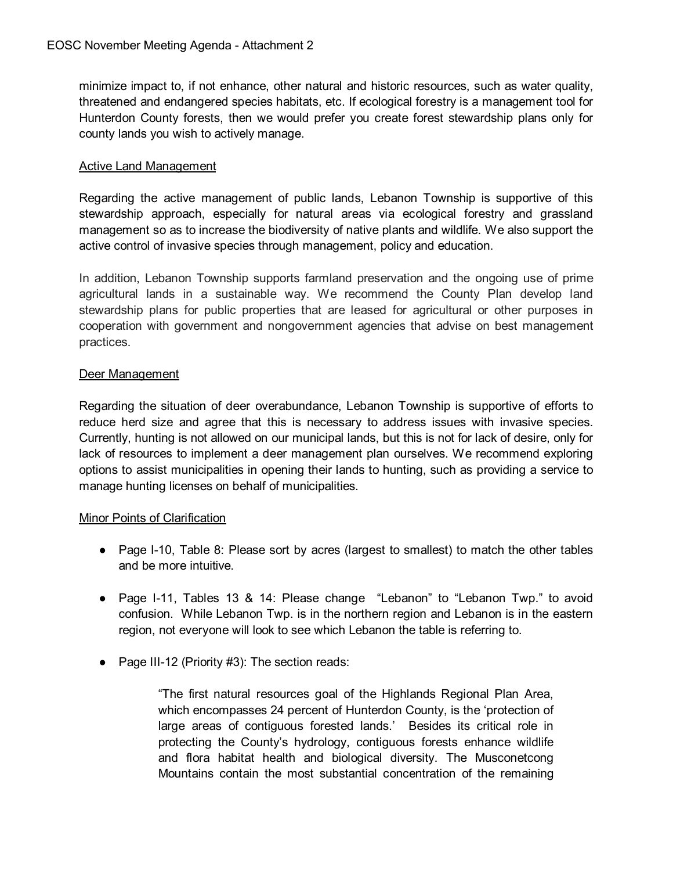minimize impact to, if not enhance, other natural and historic resources, such as water quality, threatened and endangered species habitats, etc. If ecological forestry is a management tool for Hunterdon County forests, then we would prefer you create forest stewardship plans only for county lands you wish to actively manage.

#### Active Land Management

Regarding the active management of public lands, Lebanon Township is supportive of this stewardship approach, especially for natural areas via ecological forestry and grassland management so as to increase the biodiversity of native plants and wildlife. We also support the active control of invasive species through management, policy and education.

In addition, Lebanon Township supports farmland preservation and the ongoing use of prime agricultural lands in a sustainable way. We recommend the County Plan develop land stewardship plans for public properties that are leased for agricultural or other purposes in cooperation with government and nongovernment agencies that advise on best management practices.

#### Deer Management

Regarding the situation of deer overabundance, Lebanon Township is supportive of efforts to reduce herd size and agree that this is necessary to address issues with invasive species. Currently, hunting is not allowed on our municipal lands, but this is not for lack of desire, only for lack of resources to implement a deer management plan ourselves. We recommend exploring options to assist municipalities in opening their lands to hunting, such as providing a service to manage hunting licenses on behalf of municipalities.

#### Minor Points of Clarification

- Page I-10, Table 8: Please sort by acres (largest to smallest) to match the other tables and be more intuitive.
- Page I-11, Tables 13 & 14: Please change "Lebanon" to "Lebanon Twp." to avoid confusion. While Lebanon Twp. is in the northern region and Lebanon is in the eastern region, not everyone will look to see which Lebanon the table is referring to.
- Page III-12 (Priority #3): The section reads:

"The first natural resources goal of the Highlands Regional Plan Area, which encompasses 24 percent of Hunterdon County, is the 'protection of large areas of contiguous forested lands.' Besides its critical role in protecting the County's hydrology, contiguous forests enhance wildlife and flora habitat health and biological diversity. The Musconetcong Mountains contain the most substantial concentration of the remaining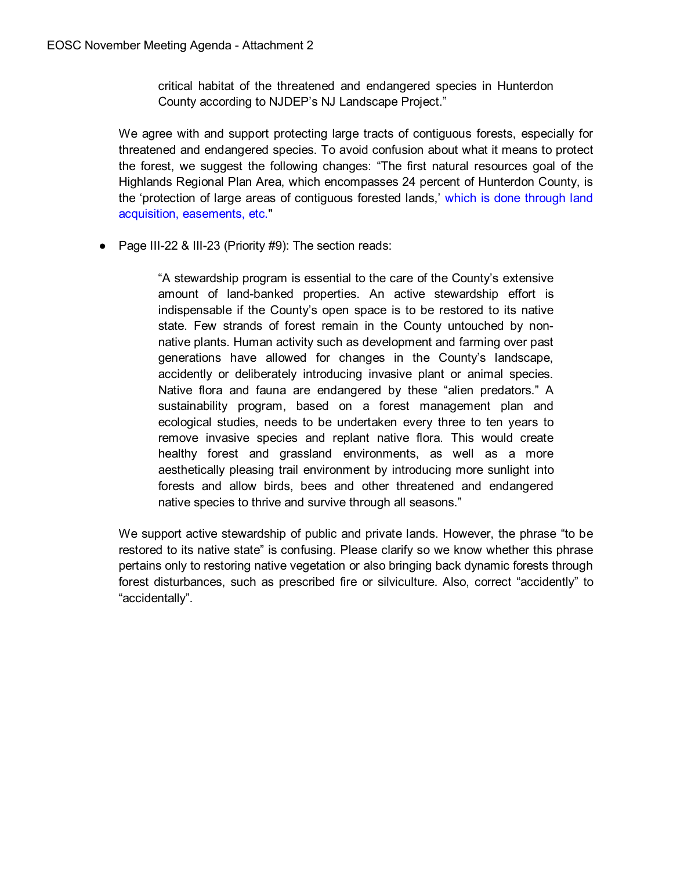critical habitat of the threatened and endangered species in Hunterdon County according to NJDEP's NJ Landscape Project."

We agree with and support protecting large tracts of contiguous forests, especially for threatened and endangered species. To avoid confusion about what it means to protect the forest, we suggest the following changes: "The first natural resources goal of the Highlands Regional Plan Area, which encompasses 24 percent of Hunterdon County, is the 'protection of large areas of contiguous forested lands,' which is done through land acquisition, easements, etc."

● Page III-22 & III-23 (Priority #9): The section reads:

"A stewardship program is essential to the care of the County's extensive amount of land-banked properties. An active stewardship effort is indispensable if the County's open space is to be restored to its native state. Few strands of forest remain in the County untouched by nonnative plants. Human activity such as development and farming over past generations have allowed for changes in the County's landscape, accidently or deliberately introducing invasive plant or animal species. Native flora and fauna are endangered by these "alien predators." A sustainability program, based on a forest management plan and ecological studies, needs to be undertaken every three to ten years to remove invasive species and replant native flora. This would create healthy forest and grassland environments, as well as a more aesthetically pleasing trail environment by introducing more sunlight into forests and allow birds, bees and other threatened and endangered native species to thrive and survive through all seasons."

We support active stewardship of public and private lands. However, the phrase "to be restored to its native state" is confusing. Please clarify so we know whether this phrase pertains only to restoring native vegetation or also bringing back dynamic forests through forest disturbances, such as prescribed fire or silviculture. Also, correct "accidently" to "accidentally".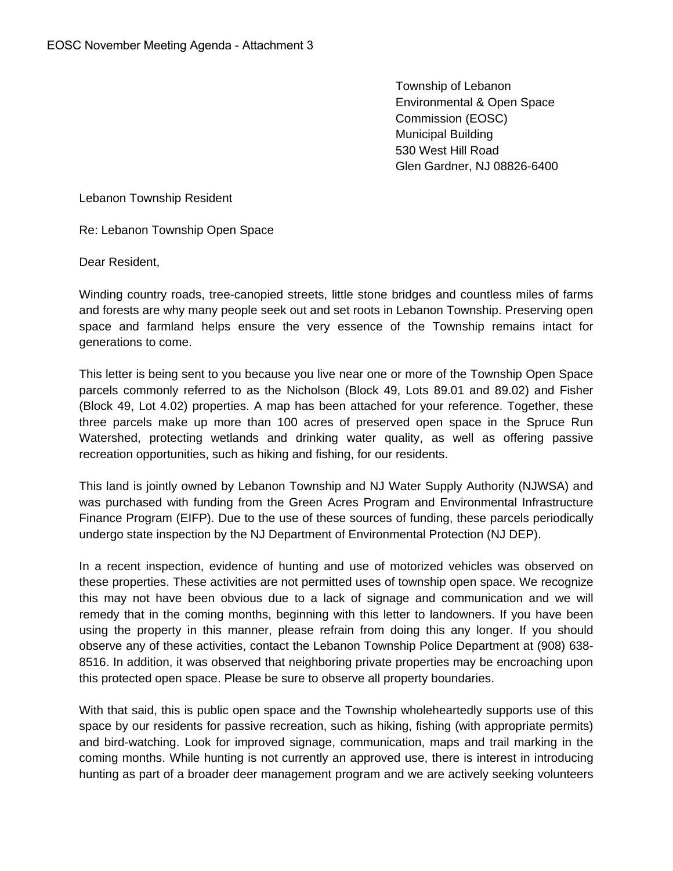Township of Lebanon Environmental & Open Space Commission (EOSC) Municipal Building 530 West Hill Road Glen Gardner, NJ 08826-6400

Lebanon Township Resident

Re: Lebanon Township Open Space

Dear Resident,

Winding country roads, tree-canopied streets, little stone bridges and countless miles of farms and forests are why many people seek out and set roots in Lebanon Township. Preserving open space and farmland helps ensure the very essence of the Township remains intact for generations to come.

This letter is being sent to you because you live near one or more of the Township Open Space parcels commonly referred to as the Nicholson (Block 49, Lots 89.01 and 89.02) and Fisher (Block 49, Lot 4.02) properties. A map has been attached for your reference. Together, these three parcels make up more than 100 acres of preserved open space in the Spruce Run Watershed, protecting wetlands and drinking water quality, as well as offering passive recreation opportunities, such as hiking and fishing, for our residents.

This land is jointly owned by Lebanon Township and NJ Water Supply Authority (NJWSA) and was purchased with funding from the Green Acres Program and Environmental Infrastructure Finance Program (EIFP). Due to the use of these sources of funding, these parcels periodically undergo state inspection by the NJ Department of Environmental Protection (NJ DEP).

In a recent inspection, evidence of hunting and use of motorized vehicles was observed on these properties. These activities are not permitted uses of township open space. We recognize this may not have been obvious due to a lack of signage and communication and we will remedy that in the coming months, beginning with this letter to landowners. If you have been using the property in this manner, please refrain from doing this any longer. If you should observe any of these activities, contact the Lebanon Township Police Department at (908) 638- 8516. In addition, it was observed that neighboring private properties may be encroaching upon this protected open space. Please be sure to observe all property boundaries.

With that said, this is public open space and the Township wholeheartedly supports use of this space by our residents for passive recreation, such as hiking, fishing (with appropriate permits) and bird-watching. Look for improved signage, communication, maps and trail marking in the coming months. While hunting is not currently an approved use, there is interest in introducing hunting as part of a broader deer management program and we are actively seeking volunteers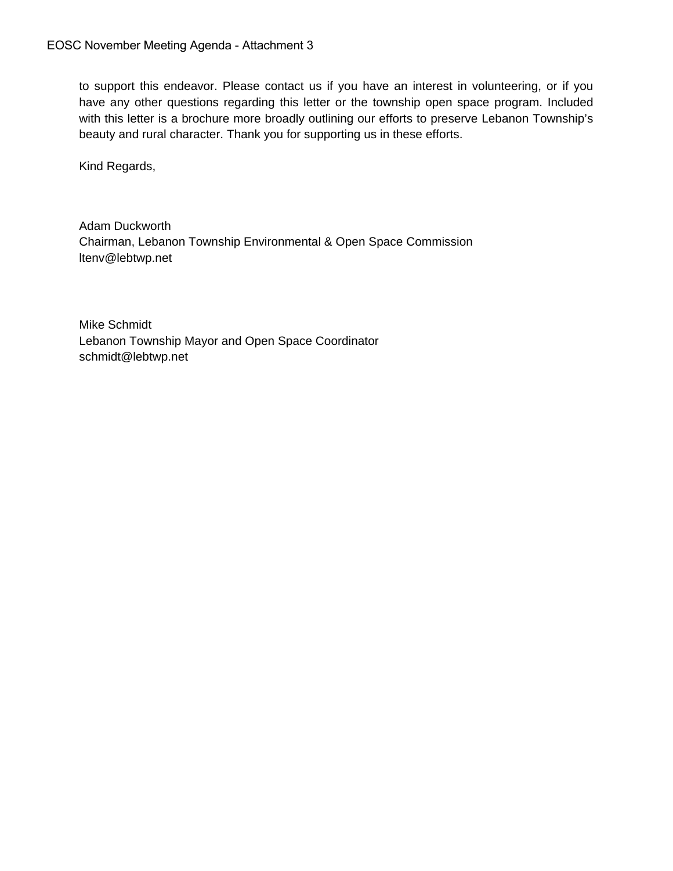to support this endeavor. Please contact us if you have an interest in volunteering, or if you have any other questions regarding this letter or the township open space program. Included with this letter is a brochure more broadly outlining our efforts to preserve Lebanon Township's beauty and rural character. Thank you for supporting us in these efforts.

Kind Regards,

Adam Duckworth Chairman, Lebanon Township Environmental & Open Space Commission ltenv@lebtwp.net

Mike Schmidt Lebanon Township Mayor and Open Space Coordinator schmidt@lebtwp.net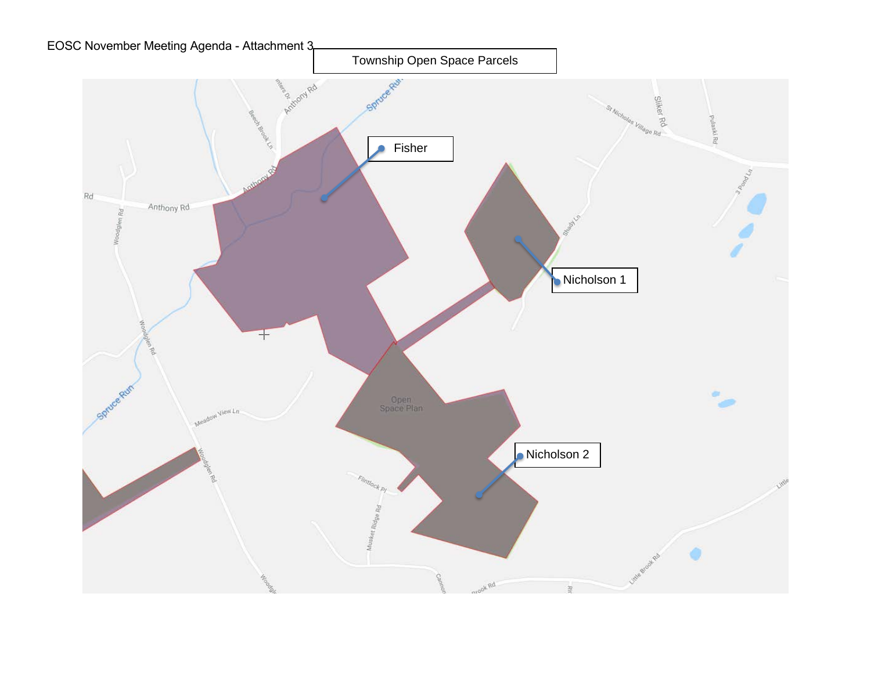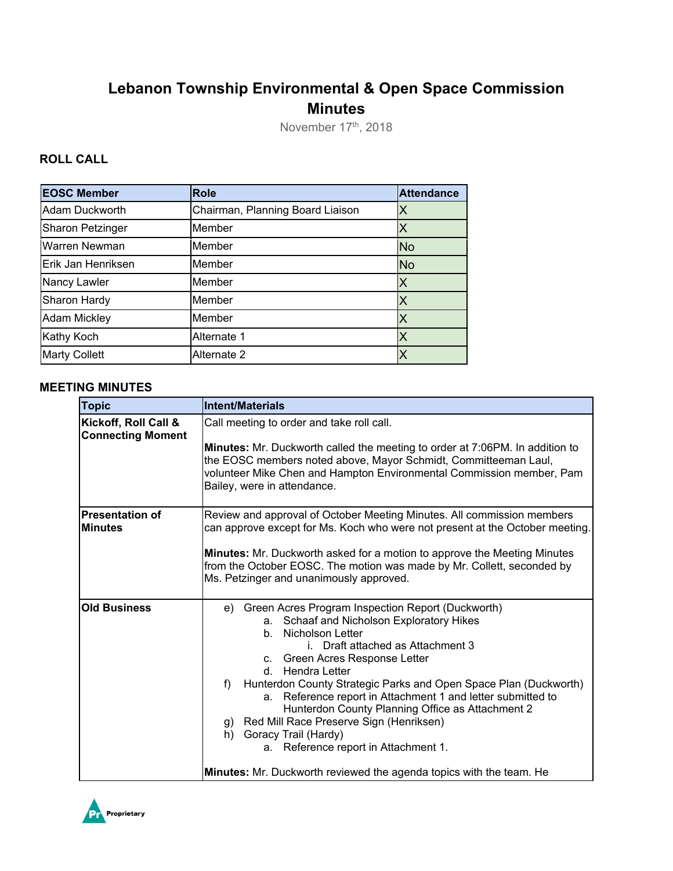# **Lebanon Township Environmental & Open Space Commission Minutes**

November 17<sup>th</sup>, 2018

### **ROLL CALL**

| <b>EOSC Member</b>      | <b>Role</b>                      | <b>Attendance</b> |
|-------------------------|----------------------------------|-------------------|
| Adam Duckworth          | Chairman, Planning Board Liaison | Х                 |
| <b>Sharon Petzinger</b> | Member                           | Χ                 |
| Warren Newman           | Member                           | <b>No</b>         |
| Erik Jan Henriksen      | Member                           | <b>No</b>         |
| Nancy Lawler            | Member                           | X                 |
| Sharon Hardy            | Member                           | Х                 |
| <b>Adam Mickley</b>     | Member                           | Х                 |
| Kathy Koch              | Alternate 1                      | Χ                 |
| <b>Marty Collett</b>    | Alternate 2                      |                   |

#### **MEETING MINUTES**

| <b>Topic</b>                                     | <b>Intent/Materials</b>                                                                                                                                                                                                                                                                                                                                                                                                                                                                                                                                                                                                |
|--------------------------------------------------|------------------------------------------------------------------------------------------------------------------------------------------------------------------------------------------------------------------------------------------------------------------------------------------------------------------------------------------------------------------------------------------------------------------------------------------------------------------------------------------------------------------------------------------------------------------------------------------------------------------------|
| Kickoff, Roll Call &<br><b>Connecting Moment</b> | Call meeting to order and take roll call.<br><b>Minutes:</b> Mr. Duckworth called the meeting to order at 7:06PM. In addition to<br>the EOSC members noted above, Mayor Schmidt, Committeeman Laul,<br>volunteer Mike Chen and Hampton Environmental Commission member, Pam<br>Bailey, were in attendance.                                                                                                                                                                                                                                                                                                             |
| <b>Presentation of</b><br><b>Minutes</b>         | Review and approval of October Meeting Minutes. All commission members<br>can approve except for Ms. Koch who were not present at the October meeting.<br><b>Minutes:</b> Mr. Duckworth asked for a motion to approve the Meeting Minutes<br>from the October EOSC. The motion was made by Mr. Collett, seconded by<br>Ms. Petzinger and unanimously approved.                                                                                                                                                                                                                                                         |
| <b>Old Business</b>                              | e) Green Acres Program Inspection Report (Duckworth)<br>a. Schaaf and Nicholson Exploratory Hikes<br>b. Nicholson Letter<br>i. Draft attached as Attachment 3<br>c. Green Acres Response Letter<br>Hendra Letter<br>d –<br>Hunterdon County Strategic Parks and Open Space Plan (Duckworth)<br>$f$ )<br>a. Reference report in Attachment 1 and letter submitted to<br>Hunterdon County Planning Office as Attachment 2<br>g) Red Mill Race Preserve Sign (Henriksen)<br>h) Goracy Trail (Hardy)<br>a. Reference report in Attachment 1.<br><b>Minutes:</b> Mr. Duckworth reviewed the agenda topics with the team. He |

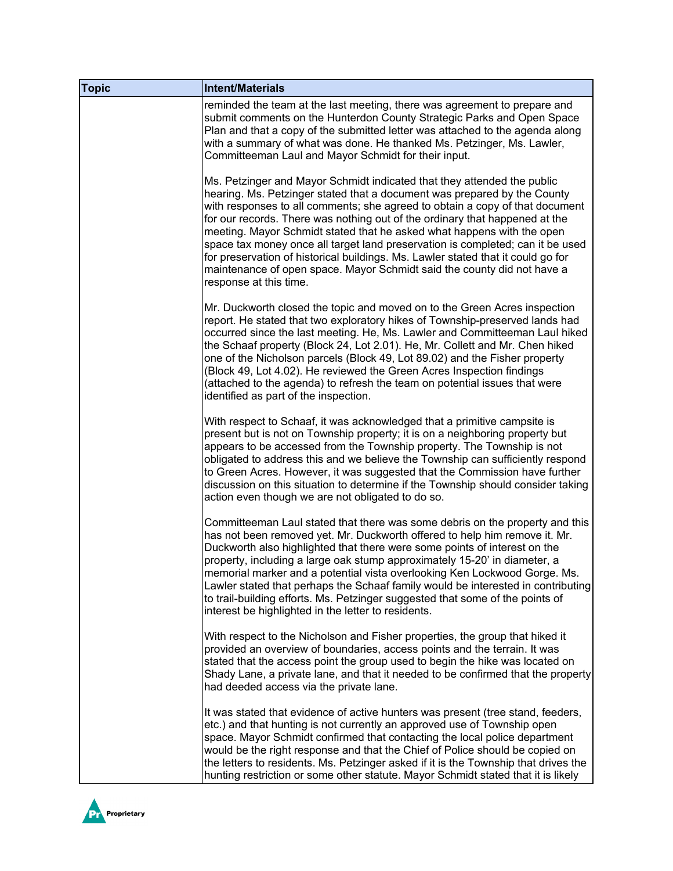| <b>Topic</b> | <b>Intent/Materials</b>                                                                                                                                                                                                                                                                                                                                                                                                                                                                                                                                                                                                                                                 |
|--------------|-------------------------------------------------------------------------------------------------------------------------------------------------------------------------------------------------------------------------------------------------------------------------------------------------------------------------------------------------------------------------------------------------------------------------------------------------------------------------------------------------------------------------------------------------------------------------------------------------------------------------------------------------------------------------|
|              | reminded the team at the last meeting, there was agreement to prepare and<br>submit comments on the Hunterdon County Strategic Parks and Open Space<br>Plan and that a copy of the submitted letter was attached to the agenda along<br>with a summary of what was done. He thanked Ms. Petzinger, Ms. Lawler,<br>Committeeman Laul and Mayor Schmidt for their input.                                                                                                                                                                                                                                                                                                  |
|              | Ms. Petzinger and Mayor Schmidt indicated that they attended the public<br>hearing. Ms. Petzinger stated that a document was prepared by the County<br>with responses to all comments; she agreed to obtain a copy of that document<br>for our records. There was nothing out of the ordinary that happened at the<br>meeting. Mayor Schmidt stated that he asked what happens with the open<br>space tax money once all target land preservation is completed; can it be used<br>for preservation of historical buildings. Ms. Lawler stated that it could go for<br>maintenance of open space. Mayor Schmidt said the county did not have a<br>response at this time. |
|              | Mr. Duckworth closed the topic and moved on to the Green Acres inspection<br>report. He stated that two exploratory hikes of Township-preserved lands had<br>occurred since the last meeting. He, Ms. Lawler and Committeeman Laul hiked<br>the Schaaf property (Block 24, Lot 2.01). He, Mr. Collett and Mr. Chen hiked<br>one of the Nicholson parcels (Block 49, Lot 89.02) and the Fisher property<br>(Block 49, Lot 4.02). He reviewed the Green Acres Inspection findings<br>(attached to the agenda) to refresh the team on potential issues that were<br>identified as part of the inspection.                                                                  |
|              | With respect to Schaaf, it was acknowledged that a primitive campsite is<br>present but is not on Township property; it is on a neighboring property but<br>appears to be accessed from the Township property. The Township is not<br>obligated to address this and we believe the Township can sufficiently respond<br>to Green Acres. However, it was suggested that the Commission have further<br>discussion on this situation to determine if the Township should consider taking<br>action even though we are not obligated to do so.                                                                                                                             |
|              | Committeeman Laul stated that there was some debris on the property and this<br>has not been removed yet. Mr. Duckworth offered to help him remove it. Mr.<br>Duckworth also highlighted that there were some points of interest on the<br>property, including a large oak stump approximately 15-20' in diameter, a<br>memorial marker and a potential vista overlooking Ken Lockwood Gorge. Ms.<br>Lawler stated that perhaps the Schaaf family would be interested in contributing<br>to trail-building efforts. Ms. Petzinger suggested that some of the points of<br>interest be highlighted in the letter to residents.                                           |
|              | With respect to the Nicholson and Fisher properties, the group that hiked it<br>provided an overview of boundaries, access points and the terrain. It was<br>stated that the access point the group used to begin the hike was located on<br>Shady Lane, a private lane, and that it needed to be confirmed that the property<br>had deeded access via the private lane.                                                                                                                                                                                                                                                                                                |
|              | It was stated that evidence of active hunters was present (tree stand, feeders,<br>etc.) and that hunting is not currently an approved use of Township open<br>space. Mayor Schmidt confirmed that contacting the local police department<br>would be the right response and that the Chief of Police should be copied on<br>the letters to residents. Ms. Petzinger asked if it is the Township that drives the<br>hunting restriction or some other statute. Mayor Schmidt stated that it is likely                                                                                                                                                                   |

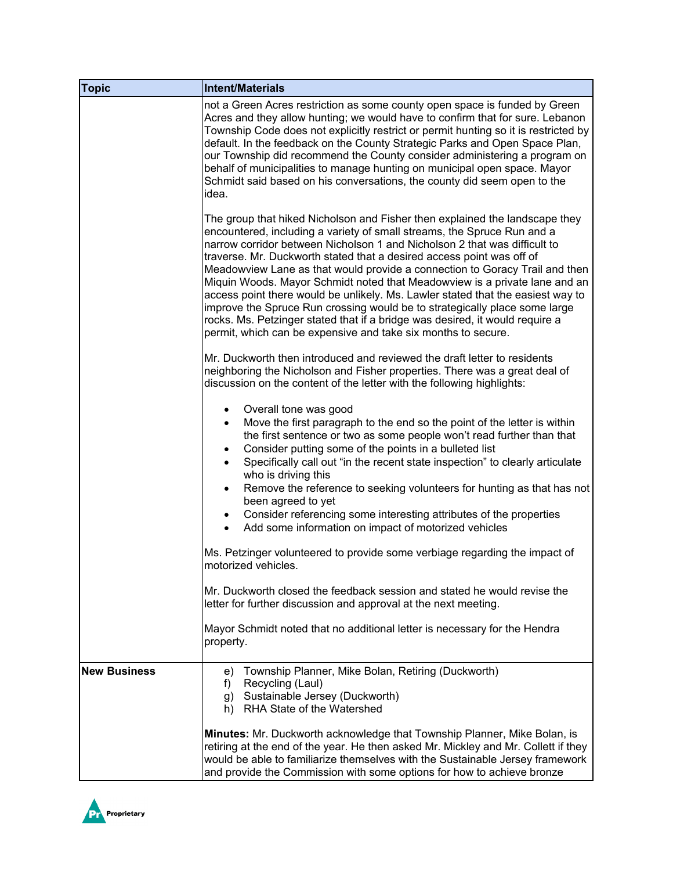| <b>Topic</b>        | <b>Intent/Materials</b>                                                                                                                                                                                                                                                                                                                                                                                                                                                                                                                                                                                                                                                                                                                                                                     |
|---------------------|---------------------------------------------------------------------------------------------------------------------------------------------------------------------------------------------------------------------------------------------------------------------------------------------------------------------------------------------------------------------------------------------------------------------------------------------------------------------------------------------------------------------------------------------------------------------------------------------------------------------------------------------------------------------------------------------------------------------------------------------------------------------------------------------|
|                     | not a Green Acres restriction as some county open space is funded by Green<br>Acres and they allow hunting; we would have to confirm that for sure. Lebanon<br>Township Code does not explicitly restrict or permit hunting so it is restricted by<br>default. In the feedback on the County Strategic Parks and Open Space Plan,<br>our Township did recommend the County consider administering a program on<br>behalf of municipalities to manage hunting on municipal open space. Mayor<br>Schmidt said based on his conversations, the county did seem open to the<br>idea.                                                                                                                                                                                                            |
|                     | The group that hiked Nicholson and Fisher then explained the landscape they<br>encountered, including a variety of small streams, the Spruce Run and a<br>narrow corridor between Nicholson 1 and Nicholson 2 that was difficult to<br>traverse. Mr. Duckworth stated that a desired access point was off of<br>Meadowview Lane as that would provide a connection to Goracy Trail and then<br>Miquin Woods. Mayor Schmidt noted that Meadowview is a private lane and an<br>access point there would be unlikely. Ms. Lawler stated that the easiest way to<br>improve the Spruce Run crossing would be to strategically place some large<br>rocks. Ms. Petzinger stated that if a bridge was desired, it would require a<br>permit, which can be expensive and take six months to secure. |
|                     | Mr. Duckworth then introduced and reviewed the draft letter to residents<br>neighboring the Nicholson and Fisher properties. There was a great deal of<br>discussion on the content of the letter with the following highlights:                                                                                                                                                                                                                                                                                                                                                                                                                                                                                                                                                            |
|                     | Overall tone was good<br>$\bullet$<br>Move the first paragraph to the end so the point of the letter is within<br>$\bullet$<br>the first sentence or two as some people won't read further than that<br>Consider putting some of the points in a bulleted list<br>$\bullet$<br>Specifically call out "in the recent state inspection" to clearly articulate<br>who is driving this<br>Remove the reference to seeking volunteers for hunting as that has not<br>$\bullet$<br>been agreed to yet<br>Consider referencing some interesting attributes of the properties<br>Add some information on impact of motorized vehicles<br>$\bullet$                                                                                                                                                  |
|                     | Ms. Petzinger volunteered to provide some verbiage regarding the impact of<br>motorized vehicles.                                                                                                                                                                                                                                                                                                                                                                                                                                                                                                                                                                                                                                                                                           |
|                     | Mr. Duckworth closed the feedback session and stated he would revise the<br>letter for further discussion and approval at the next meeting.                                                                                                                                                                                                                                                                                                                                                                                                                                                                                                                                                                                                                                                 |
|                     | Mayor Schmidt noted that no additional letter is necessary for the Hendra<br>property.                                                                                                                                                                                                                                                                                                                                                                                                                                                                                                                                                                                                                                                                                                      |
| <b>New Business</b> | Township Planner, Mike Bolan, Retiring (Duckworth)<br>e)<br>Recycling (Laul)<br>f)<br>g) Sustainable Jersey (Duckworth)<br>h) RHA State of the Watershed                                                                                                                                                                                                                                                                                                                                                                                                                                                                                                                                                                                                                                    |
|                     | <b>Minutes:</b> Mr. Duckworth acknowledge that Township Planner, Mike Bolan, is<br>retiring at the end of the year. He then asked Mr. Mickley and Mr. Collett if they<br>would be able to familiarize themselves with the Sustainable Jersey framework<br>and provide the Commission with some options for how to achieve bronze                                                                                                                                                                                                                                                                                                                                                                                                                                                            |

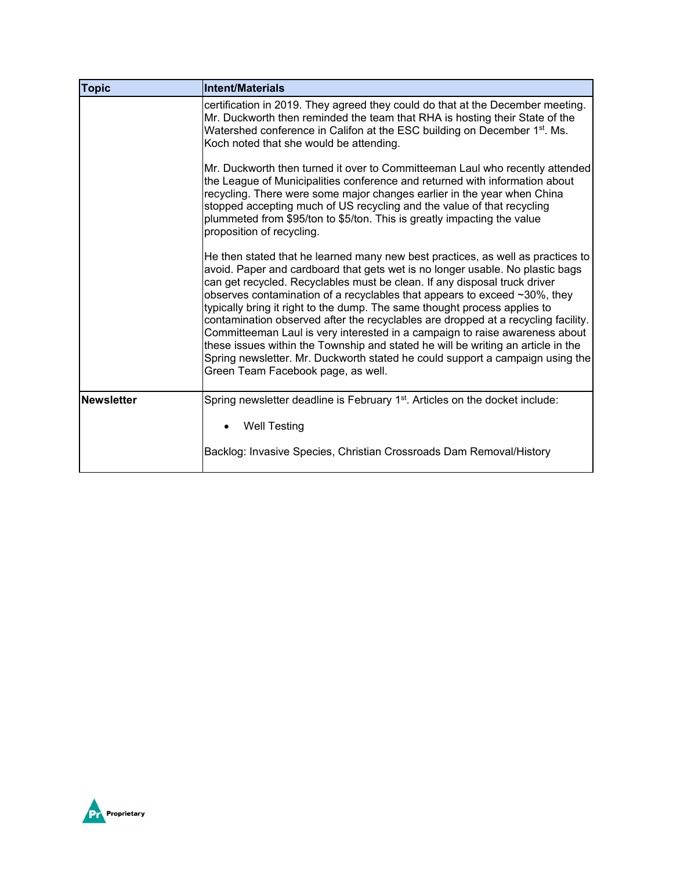| <b>Topic</b>      | Intent/Materials                                                                                                                                                                                                                                                                                                                                                                                                                                                                                                                                                                                                                                                                                                                                                                       |
|-------------------|----------------------------------------------------------------------------------------------------------------------------------------------------------------------------------------------------------------------------------------------------------------------------------------------------------------------------------------------------------------------------------------------------------------------------------------------------------------------------------------------------------------------------------------------------------------------------------------------------------------------------------------------------------------------------------------------------------------------------------------------------------------------------------------|
|                   | certification in 2019. They agreed they could do that at the December meeting.<br>Mr. Duckworth then reminded the team that RHA is hosting their State of the<br>Watershed conference in Califon at the ESC building on December 1 <sup>st</sup> . Ms.<br>Koch noted that she would be attending.                                                                                                                                                                                                                                                                                                                                                                                                                                                                                      |
|                   | Mr. Duckworth then turned it over to Committeeman Laul who recently attended<br>the League of Municipalities conference and returned with information about<br>recycling. There were some major changes earlier in the year when China<br>stopped accepting much of US recycling and the value of that recycling<br>plummeted from \$95/ton to \$5/ton. This is greatly impacting the value<br>proposition of recycling.                                                                                                                                                                                                                                                                                                                                                               |
|                   | He then stated that he learned many new best practices, as well as practices to<br>avoid. Paper and cardboard that gets wet is no longer usable. No plastic bags<br>can get recycled. Recyclables must be clean. If any disposal truck driver<br>observes contamination of a recyclables that appears to exceed ~30%, they<br>typically bring it right to the dump. The same thought process applies to<br>contamination observed after the recyclables are dropped at a recycling facility.<br>Committeeman Laul is very interested in a campaign to raise awareness about<br>these issues within the Township and stated he will be writing an article in the<br>Spring newsletter. Mr. Duckworth stated he could support a campaign using the<br>Green Team Facebook page, as well. |
| <b>Newsletter</b> | Spring newsletter deadline is February 1 <sup>st</sup> . Articles on the docket include:                                                                                                                                                                                                                                                                                                                                                                                                                                                                                                                                                                                                                                                                                               |
|                   | <b>Well Testing</b>                                                                                                                                                                                                                                                                                                                                                                                                                                                                                                                                                                                                                                                                                                                                                                    |
|                   | Backlog: Invasive Species, Christian Crossroads Dam Removal/History                                                                                                                                                                                                                                                                                                                                                                                                                                                                                                                                                                                                                                                                                                                    |